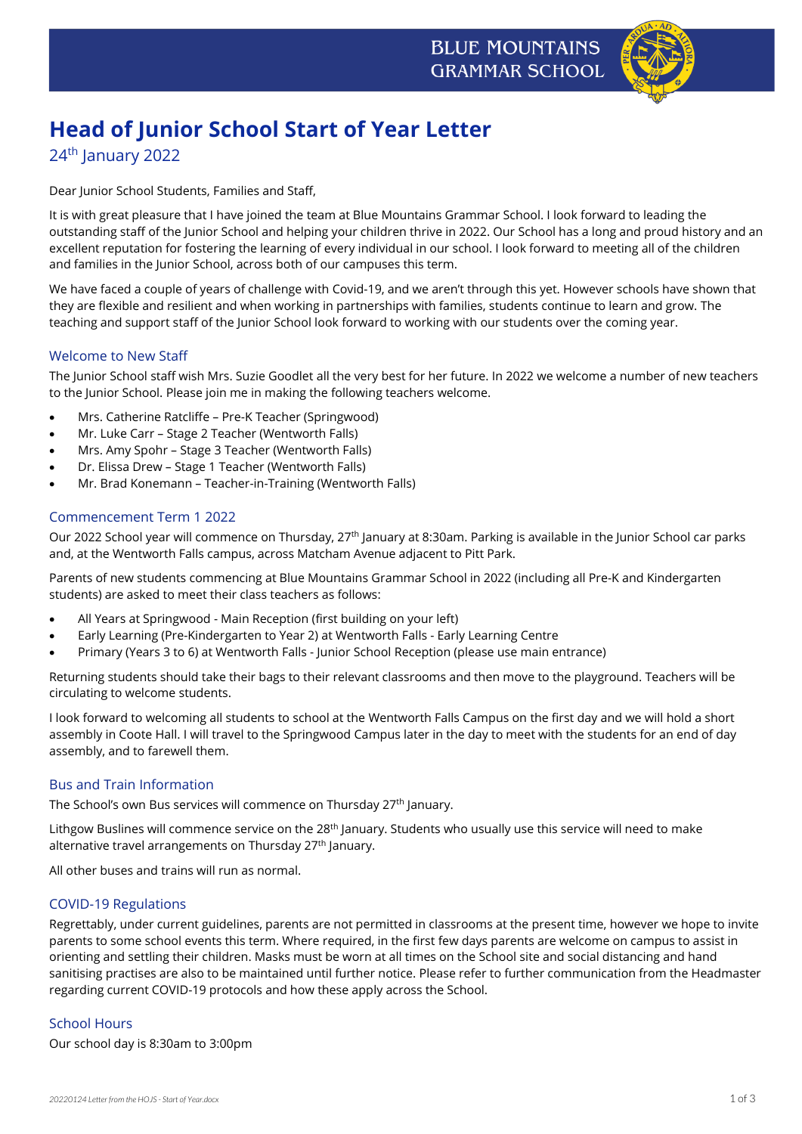

# **Head of Junior School Start of Year Letter**

# 24<sup>th</sup> January 2022

Dear Junior School Students, Families and Staff,

It is with great pleasure that I have joined the team at Blue Mountains Grammar School. I look forward to leading the outstanding staff of the Junior School and helping your children thrive in 2022. Our School has a long and proud history and an excellent reputation for fostering the learning of every individual in our school. I look forward to meeting all of the children and families in the Junior School, across both of our campuses this term.

We have faced a couple of years of challenge with Covid-19, and we aren't through this yet. However schools have shown that they are flexible and resilient and when working in partnerships with families, students continue to learn and grow. The teaching and support staff of the Junior School look forward to working with our students over the coming year.

#### Welcome to New Staff

The Junior School staff wish Mrs. Suzie Goodlet all the very best for her future. In 2022 we welcome a number of new teachers to the Junior School. Please join me in making the following teachers welcome.

- Mrs. Catherine Ratcliffe Pre-K Teacher (Springwood)
- Mr. Luke Carr Stage 2 Teacher (Wentworth Falls)
- Mrs. Amy Spohr Stage 3 Teacher (Wentworth Falls)
- Dr. Elissa Drew Stage 1 Teacher (Wentworth Falls)
- Mr. Brad Konemann Teacher-in-Training (Wentworth Falls)

## Commencement Term 1 2022

Our 2022 School year will commence on Thursday, 27th January at 8:30am. Parking is available in the Junior School car parks and, at the Wentworth Falls campus, across Matcham Avenue adjacent to Pitt Park.

Parents of new students commencing at Blue Mountains Grammar School in 2022 (including all Pre-K and Kindergarten students) are asked to meet their class teachers as follows:

- All Years at Springwood Main Reception (first building on your left)
- Early Learning (Pre-Kindergarten to Year 2) at Wentworth Falls Early Learning Centre
- Primary (Years 3 to 6) at Wentworth Falls Junior School Reception (please use main entrance)

Returning students should take their bags to their relevant classrooms and then move to the playground. Teachers will be circulating to welcome students.

I look forward to welcoming all students to school at the Wentworth Falls Campus on the first day and we will hold a short assembly in Coote Hall. I will travel to the Springwood Campus later in the day to meet with the students for an end of day assembly, and to farewell them.

#### Bus and Train Information

The School's own Bus services will commence on Thursday 27<sup>th</sup> January.

Lithgow Buslines will commence service on the 28<sup>th</sup> January. Students who usually use this service will need to make alternative travel arrangements on Thursday 27<sup>th</sup> January.

All other buses and trains will run as normal.

#### COVID-19 Regulations

Regrettably, under current guidelines, parents are not permitted in classrooms at the present time, however we hope to invite parents to some school events this term. Where required, in the first few days parents are welcome on campus to assist in orienting and settling their children. Masks must be worn at all times on the School site and social distancing and hand sanitising practises are also to be maintained until further notice. Please refer to further communication from the Headmaster regarding current COVID-19 protocols and how these apply across the School.

#### School Hours

Our school day is 8:30am to 3:00pm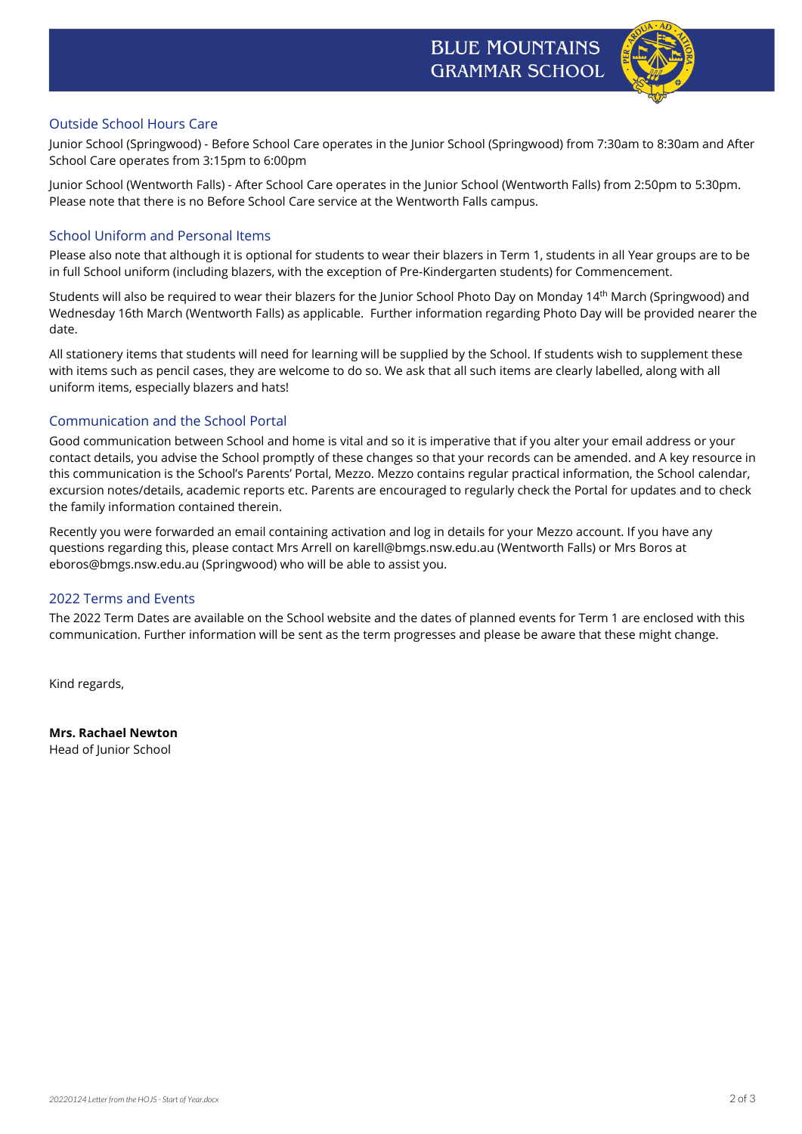

### Outside School Hours Care

Junior School (Springwood) - Before School Care operates in the Junior School (Springwood) from 7:30am to 8:30am and After School Care operates from 3:15pm to 6:00pm

Junior School (Wentworth Falls) - After School Care operates in the Junior School (Wentworth Falls) from 2:50pm to 5:30pm. Please note that there is no Before School Care service at the Wentworth Falls campus.

### School Uniform and Personal Items

Please also note that although it is optional for students to wear their blazers in Term 1, students in all Year groups are to be in full School uniform (including blazers, with the exception of Pre-Kindergarten students) for Commencement.

Students will also be required to wear their blazers for the Junior School Photo Day on Monday 14th March (Springwood) and Wednesday 16th March (Wentworth Falls) as applicable. Further information regarding Photo Day will be provided nearer the date.

All stationery items that students will need for learning will be supplied by the School. If students wish to supplement these with items such as pencil cases, they are welcome to do so. We ask that all such items are clearly labelled, along with all uniform items, especially blazers and hats!

### Communication and the School Portal

Good communication between School and home is vital and so it is imperative that if you alter your email address or your contact details, you advise the School promptly of these changes so that your records can be amended. and A key resource in this communication is the School's Parents' Portal, Mezzo. Mezzo contains regular practical information, the School calendar, excursion notes/details, academic reports etc. Parents are encouraged to regularly check the Portal for updates and to check the family information contained therein.

Recently you were forwarded an email containing activation and log in details for your Mezzo account. If you have any questions regarding this, please contact Mrs Arrell on karell@bmgs.nsw.edu.au (Wentworth Falls) or Mrs Boros at eboros@bmgs.nsw.edu.au (Springwood) who will be able to assist you.

#### 2022 Terms and Events

The 2022 Term Dates are available on the School website and the dates of planned events for Term 1 are enclosed with this communication. Further information will be sent as the term progresses and please be aware that these might change.

Kind regards,

**Mrs. Rachael Newton** Head of Junior School